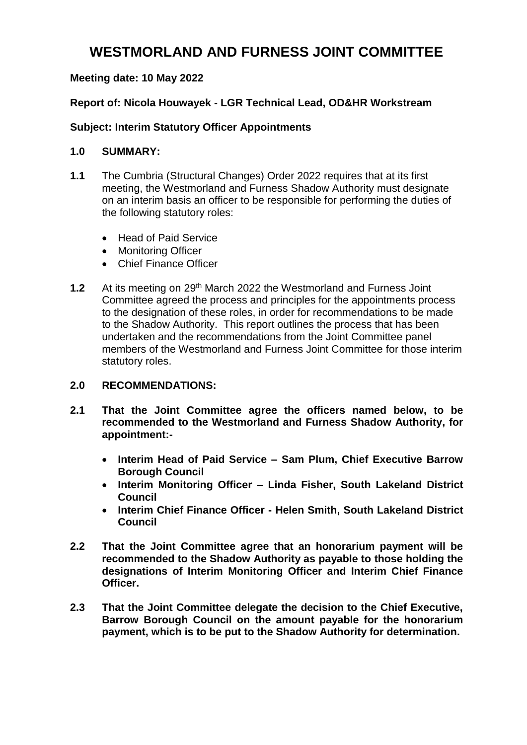# **WESTMORLAND AND FURNESS JOINT COMMITTEE**

## **Meeting date: 10 May 2022**

## **Report of: Nicola Houwayek - LGR Technical Lead, OD&HR Workstream**

### **Subject: Interim Statutory Officer Appointments**

#### **1.0 SUMMARY:**

- **1.1** The Cumbria (Structural Changes) Order 2022 requires that at its first meeting, the Westmorland and Furness Shadow Authority must designate on an interim basis an officer to be responsible for performing the duties of the following statutory roles:
	- Head of Paid Service
	- Monitoring Officer
	- Chief Finance Officer
- **1.2** At its meeting on 29th March 2022 the Westmorland and Furness Joint Committee agreed the process and principles for the appointments process to the designation of these roles, in order for recommendations to be made to the Shadow Authority. This report outlines the process that has been undertaken and the recommendations from the Joint Committee panel members of the Westmorland and Furness Joint Committee for those interim statutory roles.

#### **2.0 RECOMMENDATIONS:**

- **2.1 That the Joint Committee agree the officers named below, to be recommended to the Westmorland and Furness Shadow Authority, for appointment:-**
	- **Interim Head of Paid Service – Sam Plum, Chief Executive Barrow Borough Council**
	- **Interim Monitoring Officer – Linda Fisher, South Lakeland District Council**
	- **Interim Chief Finance Officer - Helen Smith, South Lakeland District Council**
- **2.2 That the Joint Committee agree that an honorarium payment will be recommended to the Shadow Authority as payable to those holding the designations of Interim Monitoring Officer and Interim Chief Finance Officer.**
- **2.3 That the Joint Committee delegate the decision to the Chief Executive, Barrow Borough Council on the amount payable for the honorarium payment, which is to be put to the Shadow Authority for determination.**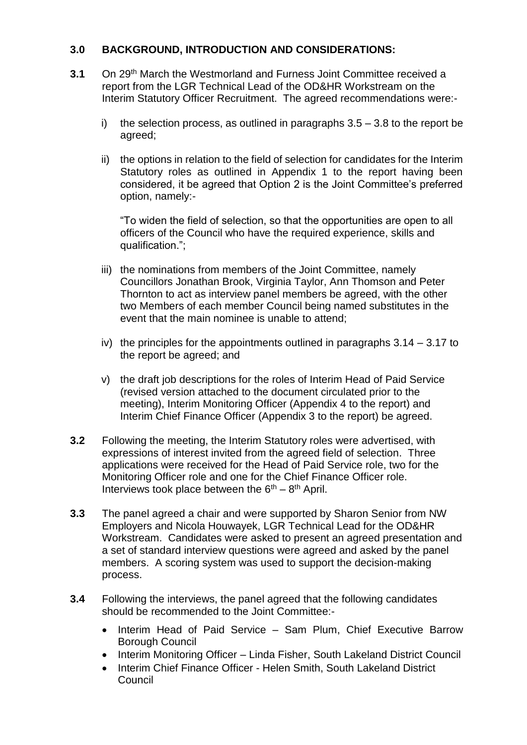## **3.0 BACKGROUND, INTRODUCTION AND CONSIDERATIONS:**

- **3.1** On 29th March the Westmorland and Furness Joint Committee received a report from the LGR Technical Lead of the OD&HR Workstream on the Interim Statutory Officer Recruitment. The agreed recommendations were:
	- i) the selection process, as outlined in paragraphs  $3.5 3.8$  to the report be agreed;
	- ii) the options in relation to the field of selection for candidates for the Interim Statutory roles as outlined in Appendix 1 to the report having been considered, it be agreed that Option 2 is the Joint Committee's preferred option, namely:-

"To widen the field of selection, so that the opportunities are open to all officers of the Council who have the required experience, skills and qualification.";

- iii) the nominations from members of the Joint Committee, namely Councillors Jonathan Brook, Virginia Taylor, Ann Thomson and Peter Thornton to act as interview panel members be agreed, with the other two Members of each member Council being named substitutes in the event that the main nominee is unable to attend;
- iv) the principles for the appointments outlined in paragraphs 3.14 3.17 to the report be agreed; and
- v) the draft job descriptions for the roles of Interim Head of Paid Service (revised version attached to the document circulated prior to the meeting), Interim Monitoring Officer (Appendix 4 to the report) and Interim Chief Finance Officer (Appendix 3 to the report) be agreed.
- **3.2** Following the meeting, the Interim Statutory roles were advertised, with expressions of interest invited from the agreed field of selection. Three applications were received for the Head of Paid Service role, two for the Monitoring Officer role and one for the Chief Finance Officer role. Interviews took place between the  $6<sup>th</sup> - 8<sup>th</sup>$  April.
- **3.3** The panel agreed a chair and were supported by Sharon Senior from NW Employers and Nicola Houwayek, LGR Technical Lead for the OD&HR Workstream. Candidates were asked to present an agreed presentation and a set of standard interview questions were agreed and asked by the panel members. A scoring system was used to support the decision-making process.
- **3.4** Following the interviews, the panel agreed that the following candidates should be recommended to the Joint Committee:-
	- Interim Head of Paid Service Sam Plum, Chief Executive Barrow Borough Council
	- Interim Monitoring Officer Linda Fisher, South Lakeland District Council
	- Interim Chief Finance Officer Helen Smith, South Lakeland District **Council**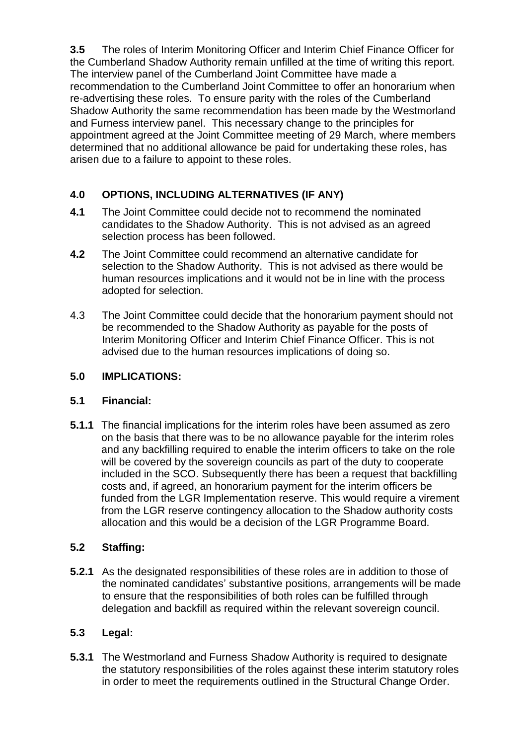**3.5** The roles of Interim Monitoring Officer and Interim Chief Finance Officer for the Cumberland Shadow Authority remain unfilled at the time of writing this report. The interview panel of the Cumberland Joint Committee have made a recommendation to the Cumberland Joint Committee to offer an honorarium when re-advertising these roles. To ensure parity with the roles of the Cumberland Shadow Authority the same recommendation has been made by the Westmorland and Furness interview panel. This necessary change to the principles for appointment agreed at the Joint Committee meeting of 29 March, where members determined that no additional allowance be paid for undertaking these roles, has arisen due to a failure to appoint to these roles.

## **4.0 OPTIONS, INCLUDING ALTERNATIVES (IF ANY)**

- **4.1** The Joint Committee could decide not to recommend the nominated candidates to the Shadow Authority. This is not advised as an agreed selection process has been followed.
- **4.2** The Joint Committee could recommend an alternative candidate for selection to the Shadow Authority. This is not advised as there would be human resources implications and it would not be in line with the process adopted for selection.
- 4.3 The Joint Committee could decide that the honorarium payment should not be recommended to the Shadow Authority as payable for the posts of Interim Monitoring Officer and Interim Chief Finance Officer. This is not advised due to the human resources implications of doing so.

### **5.0 IMPLICATIONS:**

#### **5.1 Financial:**

**5.1.1** The financial implications for the interim roles have been assumed as zero on the basis that there was to be no allowance payable for the interim roles and any backfilling required to enable the interim officers to take on the role will be covered by the sovereign councils as part of the duty to cooperate included in the SCO. Subsequently there has been a request that backfilling costs and, if agreed, an honorarium payment for the interim officers be funded from the LGR Implementation reserve. This would require a virement from the LGR reserve contingency allocation to the Shadow authority costs allocation and this would be a decision of the LGR Programme Board.

## **5.2 Staffing:**

**5.2.1** As the designated responsibilities of these roles are in addition to those of the nominated candidates' substantive positions, arrangements will be made to ensure that the responsibilities of both roles can be fulfilled through delegation and backfill as required within the relevant sovereign council.

#### **5.3 Legal:**

**5.3.1** The Westmorland and Furness Shadow Authority is required to designate the statutory responsibilities of the roles against these interim statutory roles in order to meet the requirements outlined in the Structural Change Order.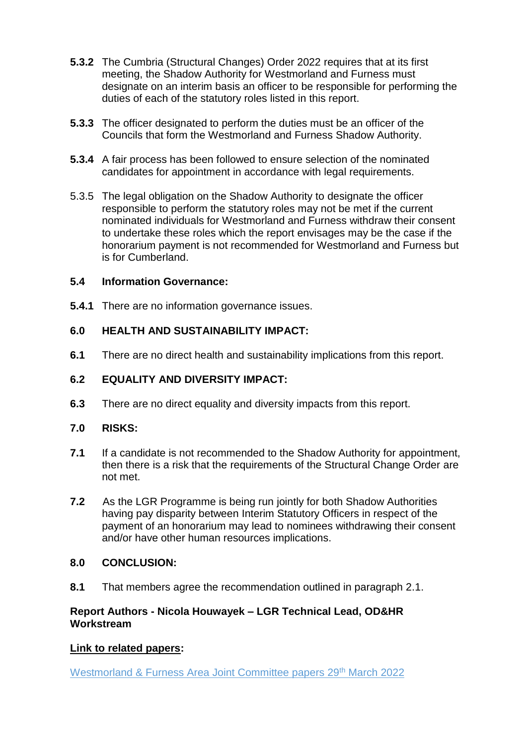- **5.3.2** The Cumbria (Structural Changes) Order 2022 requires that at its first meeting, the Shadow Authority for Westmorland and Furness must designate on an interim basis an officer to be responsible for performing the duties of each of the statutory roles listed in this report.
- **5.3.3** The officer designated to perform the duties must be an officer of the Councils that form the Westmorland and Furness Shadow Authority.
- **5.3.4** A fair process has been followed to ensure selection of the nominated candidates for appointment in accordance with legal requirements.
- 5.3.5 The legal obligation on the Shadow Authority to designate the officer responsible to perform the statutory roles may not be met if the current nominated individuals for Westmorland and Furness withdraw their consent to undertake these roles which the report envisages may be the case if the honorarium payment is not recommended for Westmorland and Furness but is for Cumberland.

## **5.4 Information Governance:**

**5.4.1** There are no information governance issues.

## **6.0 HEALTH AND SUSTAINABILITY IMPACT:**

**6.1** There are no direct health and sustainability implications from this report.

## **6.2 EQUALITY AND DIVERSITY IMPACT:**

**6.3** There are no direct equality and diversity impacts from this report.

#### **7.0 RISKS:**

- **7.1** If a candidate is not recommended to the Shadow Authority for appointment, then there is a risk that the requirements of the Structural Change Order are not met.
- **7.2** As the LGR Programme is being run jointly for both Shadow Authorities having pay disparity between Interim Statutory Officers in respect of the payment of an honorarium may lead to nominees withdrawing their consent and/or have other human resources implications.

#### **8.0 CONCLUSION:**

**8.1** That members agree the recommendation outlined in paragraph 2.1.

## **Report Authors - Nicola Houwayek – LGR Technical Lead, OD&HR Workstream**

## **Link to related papers:**

[Westmorland & Furness Area Joint Committee papers 29](https://councilportal.cumbria.gov.uk/ieListDocuments.aspx?CId=1277&MId=12354&Ver=4)<sup>th</sup> March 2022